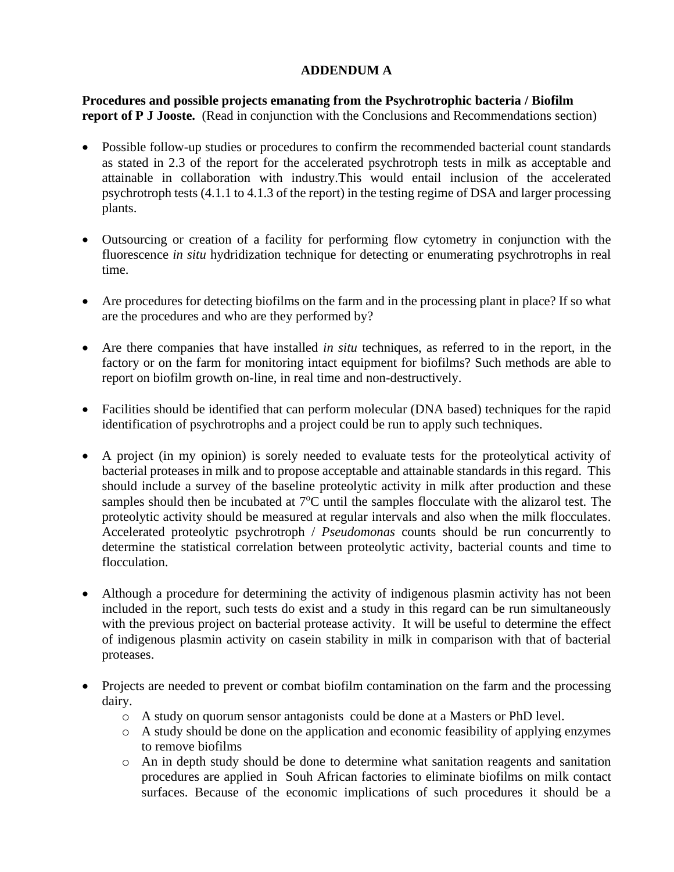## **ADDENDUM A**

**Procedures and possible projects emanating from the Psychrotrophic bacteria / Biofilm report of P J Jooste.** (Read in conjunction with the Conclusions and Recommendations section)

- Possible follow-up studies or procedures to confirm the recommended bacterial count standards as stated in 2.3 of the report for the accelerated psychrotroph tests in milk as acceptable and attainable in collaboration with industry.This would entail inclusion of the accelerated psychrotroph tests (4.1.1 to 4.1.3 of the report) in the testing regime of DSA and larger processing plants.
- Outsourcing or creation of a facility for performing flow cytometry in conjunction with the fluorescence *in situ* hydridization technique for detecting or enumerating psychrotrophs in real time.
- Are procedures for detecting biofilms on the farm and in the processing plant in place? If so what are the procedures and who are they performed by?
- Are there companies that have installed *in situ* techniques, as referred to in the report, in the factory or on the farm for monitoring intact equipment for biofilms? Such methods are able to report on biofilm growth on-line, in real time and non-destructively.
- Facilities should be identified that can perform molecular (DNA based) techniques for the rapid identification of psychrotrophs and a project could be run to apply such techniques.
- A project (in my opinion) is sorely needed to evaluate tests for the proteolytical activity of bacterial proteases in milk and to propose acceptable and attainable standards in this regard. This should include a survey of the baseline proteolytic activity in milk after production and these samples should then be incubated at 7<sup>o</sup>C until the samples flocculate with the alizarol test. The proteolytic activity should be measured at regular intervals and also when the milk flocculates. Accelerated proteolytic psychrotroph / *Pseudomonas* counts should be run concurrently to determine the statistical correlation between proteolytic activity, bacterial counts and time to flocculation.
- Although a procedure for determining the activity of indigenous plasmin activity has not been included in the report, such tests do exist and a study in this regard can be run simultaneously with the previous project on bacterial protease activity. It will be useful to determine the effect of indigenous plasmin activity on casein stability in milk in comparison with that of bacterial proteases.
- Projects are needed to prevent or combat biofilm contamination on the farm and the processing dairy.
	- o A study on quorum sensor antagonists could be done at a Masters or PhD level.
	- o A study should be done on the application and economic feasibility of applying enzymes to remove biofilms
	- o An in depth study should be done to determine what sanitation reagents and sanitation procedures are applied in Souh African factories to eliminate biofilms on milk contact surfaces. Because of the economic implications of such procedures it should be a